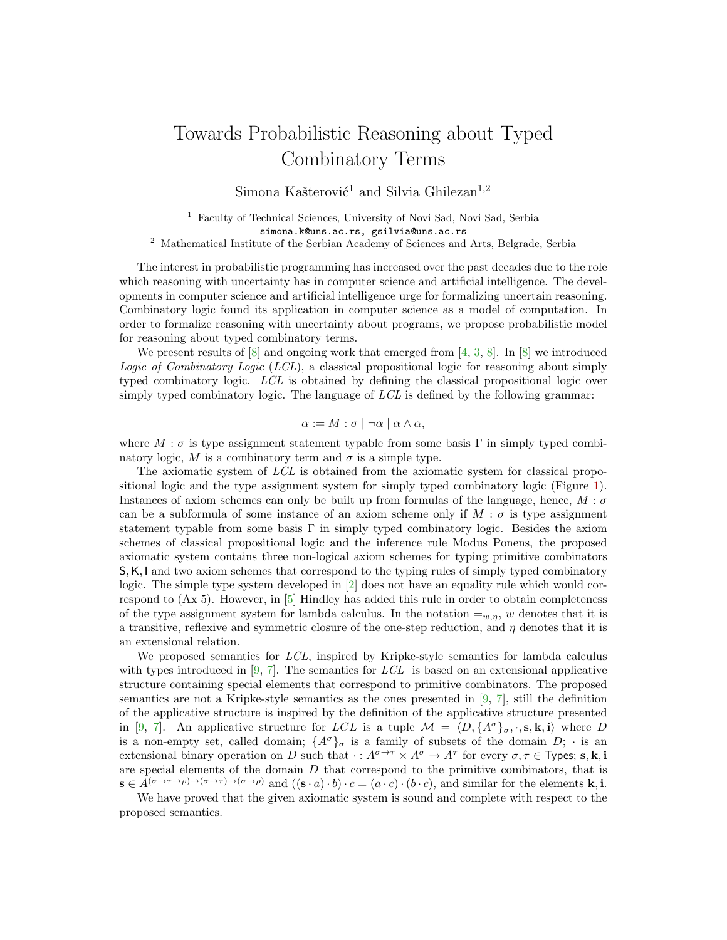## Towards Probabilistic Reasoning about Typed Combinatory Terms

Simona Kašterović<sup>1</sup> and Silvia Ghilezan<sup>1,2</sup>

<sup>1</sup> Faculty of Technical Sciences, University of Novi Sad, Novi Sad, Serbia simona.k@uns.ac.rs, gsilvia@uns.ac.rs

 $^{\rm 2}$  Mathematical Institute of the Serbian Academy of Sciences and Arts, Belgrade, Serbia

The interest in probabilistic programming has increased over the past decades due to the role which reasoning with uncertainty has in computer science and artificial intelligence. The developments in computer science and artificial intelligence urge for formalizing uncertain reasoning. Combinatory logic found its application in computer science as a model of computation. In order to formalize reasoning with uncertainty about programs, we propose probabilistic model for reasoning about typed combinatory terms.

We present results of  $[8]$  $[8]$  and ongoing work that emerged from  $[4, 3, 8]$  $[4, 3, 8]$  $[4, 3, 8]$ . In  $[8]$  we introduced Logic of Combinatory Logic (LCL), a classical propositional logic for reasoning about simply typed combinatory logic. LCL is obtained by defining the classical propositional logic over simply typed combinatory logic. The language of  $LCL$  is defined by the following grammar:

$$
\alpha := M : \sigma \mid \neg \alpha \mid \alpha \wedge \alpha,
$$

where  $M : \sigma$  is type assignment statement typable from some basis Γ in simply typed combinatory logic, M is a combinatory term and  $\sigma$  is a simple type.

The axiomatic system of LCL is obtained from the axiomatic system for classical propositional logic and the type assignment system for simply typed combinatory logic (Figure [1\)](#page-1-0). Instances of axiom schemes can only be built up from formulas of the language, hence,  $M : \sigma$ can be a subformula of some instance of an axiom scheme only if  $M : \sigma$  is type assignment statement typable from some basis Γ in simply typed combinatory logic. Besides the axiom schemes of classical propositional logic and the inference rule Modus Ponens, the proposed axiomatic system contains three non-logical axiom schemes for typing primitive combinators S,K, I and two axiom schemes that correspond to the typing rules of simply typed combinatory logic. The simple type system developed in [\[2\]](#page-2-3) does not have an equality rule which would correspond to (Ax 5). However, in [\[5\]](#page-2-4) Hindley has added this rule in order to obtain completeness of the type assignment system for lambda calculus. In the notation  $=_w, \eta$ , w denotes that it is a transitive, reflexive and symmetric closure of the one-step reduction, and  $\eta$  denotes that it is an extensional relation.

We proposed semantics for *LCL*, inspired by Kripke-style semantics for lambda calculus with types introduced in [\[9,](#page-2-5) [7\]](#page-2-6). The semantics for  $LCL$  is based on an extensional applicative structure containing special elements that correspond to primitive combinators. The proposed semantics are not a Kripke-style semantics as the ones presented in [\[9,](#page-2-5) [7\]](#page-2-6), still the definition of the applicative structure is inspired by the definition of the applicative structure presented in [\[9,](#page-2-5) [7\]](#page-2-6). An applicative structure for LCL is a tuple  $\mathcal{M} = \langle D, \{A^{\sigma}\}_{\sigma}, \cdot, \mathbf{s}, \mathbf{k}, \mathbf{i}\rangle$  where D is a non-empty set, called domain;  $\{A^{\sigma}\}_{\sigma}$  is a family of subsets of the domain  $D$ ;  $\cdot$  is an extensional binary operation on D such that  $\cdot : A^{\sigma \to \tau} \times A^{\sigma} \to A^{\tau}$  for every  $\sigma, \tau \in \mathsf{Types}; s, k, i$ are special elements of the domain  $D$  that correspond to the primitive combinators, that is  $\mathbf{s} \in A^{(\sigma \to \tau \to \rho) \to (\sigma \to \tau) \to (\sigma \to \rho)}$  and  $((\mathbf{s} \cdot a) \cdot b) \cdot c = (a \cdot c) \cdot (b \cdot c)$ , and similar for the elements **k**, **i**.

We have proved that the given axiomatic system is sound and complete with respect to the proposed semantics.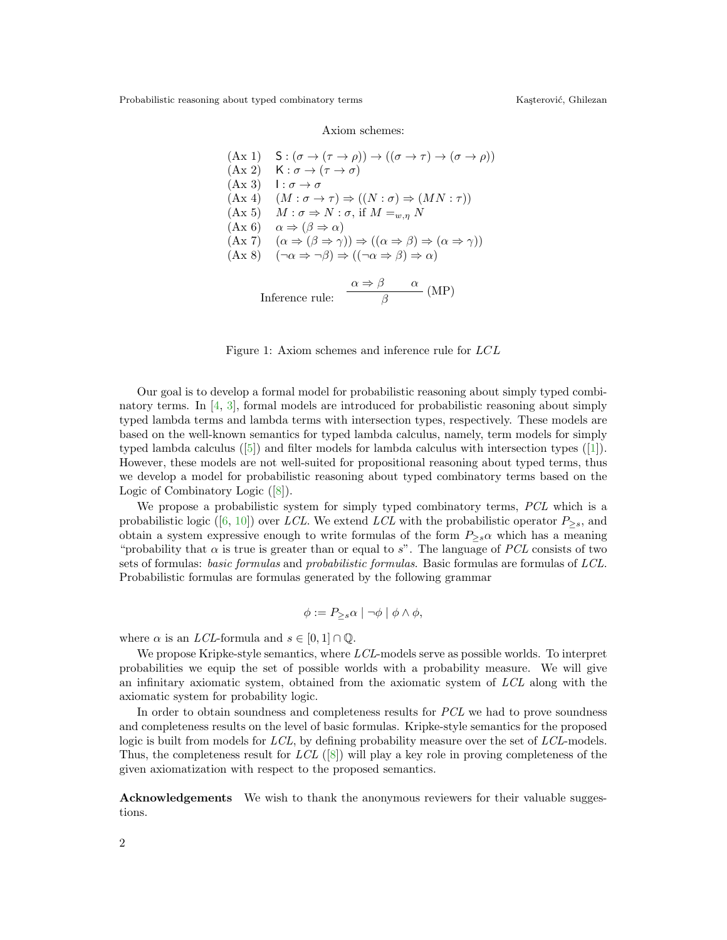Probabilistic reasoning about typed combinatory terms Kaşterović, Ghilezan

Axiom schemes:

(Ax 1) 
$$
S: (\sigma \to (\tau \to \rho)) \to ((\sigma \to \tau) \to (\sigma \to \rho))
$$
  
\n(Ax 2)  $K: \sigma \to (\tau \to \sigma)$   
\n(Ax 3)  $I: \sigma \to \sigma$   
\n(Ax 4)  $(M: \sigma \to \tau) \Rightarrow ((N: \sigma) \Rightarrow (MN: \tau))$   
\n(Ax 5)  $M: \sigma \Rightarrow N: \sigma, \text{ if } M =_{w,\eta} N$   
\n(Ax 6)  $\alpha \Rightarrow (\beta \to \alpha)$   
\n(Ax 7)  $(\alpha \to (\beta \to \gamma)) \Rightarrow ((\alpha \to \beta) \to (\alpha \to \gamma))$   
\n(Ax 8)  $(\neg \alpha \Rightarrow \neg \beta) \Rightarrow ((\neg \alpha \Rightarrow \beta) \Rightarrow \alpha)$   
\nInference rule:  $\frac{\alpha \Rightarrow \beta \quad \alpha}{\beta}$  (MP)

<span id="page-1-0"></span>Figure 1: Axiom schemes and inference rule for LCL

Our goal is to develop a formal model for probabilistic reasoning about simply typed combinatory terms. In [\[4,](#page-2-1) [3\]](#page-2-2), formal models are introduced for probabilistic reasoning about simply typed lambda terms and lambda terms with intersection types, respectively. These models are based on the well-known semantics for typed lambda calculus, namely, term models for simply typed lambda calculus([\[5\]](#page-2-4)) and filter models for lambda calculus with intersection types([\[1\]](#page-2-7)). However, these models are not well-suited for propositional reasoning about typed terms, thus we develop a model for probabilistic reasoning about typed combinatory terms based on the Logic of Combinatory Logic([\[8\]](#page-2-0)).

We propose a probabilistic system for simply typed combinatory terms, PCL which is a probabilisticlogic ([\[6,](#page-2-8) [10\]](#page-2-9)) over LCL. We extend LCL with the probabilistic operator  $P_{\geq s}$ , and obtain a system expressive enough to write formulas of the form  $P_{\geq s} \alpha$  which has a meaning "probability that  $\alpha$  is true is greater than or equal to s". The language of PCL consists of two sets of formulas: basic formulas and probabilistic formulas. Basic formulas are formulas of LCL. Probabilistic formulas are formulas generated by the following grammar

$$
\phi := P_{\geq s} \alpha \mid \neg \phi \mid \phi \land \phi,
$$

where  $\alpha$  is an *LCL*-formula and  $s \in [0, 1] \cap \mathbb{Q}$ .

We propose Kripke-style semantics, where LCL-models serve as possible worlds. To interpret probabilities we equip the set of possible worlds with a probability measure. We will give an infinitary axiomatic system, obtained from the axiomatic system of LCL along with the axiomatic system for probability logic.

In order to obtain soundness and completeness results for PCL we had to prove soundness and completeness results on the level of basic formulas. Kripke-style semantics for the proposed logic is built from models for LCL, by defining probability measure over the set of LCL-models. Thus, the completeness result for  $LCL$  ([\[8\]](#page-2-0)) will play a key role in proving completeness of the given axiomatization with respect to the proposed semantics.

Acknowledgements We wish to thank the anonymous reviewers for their valuable suggestions.